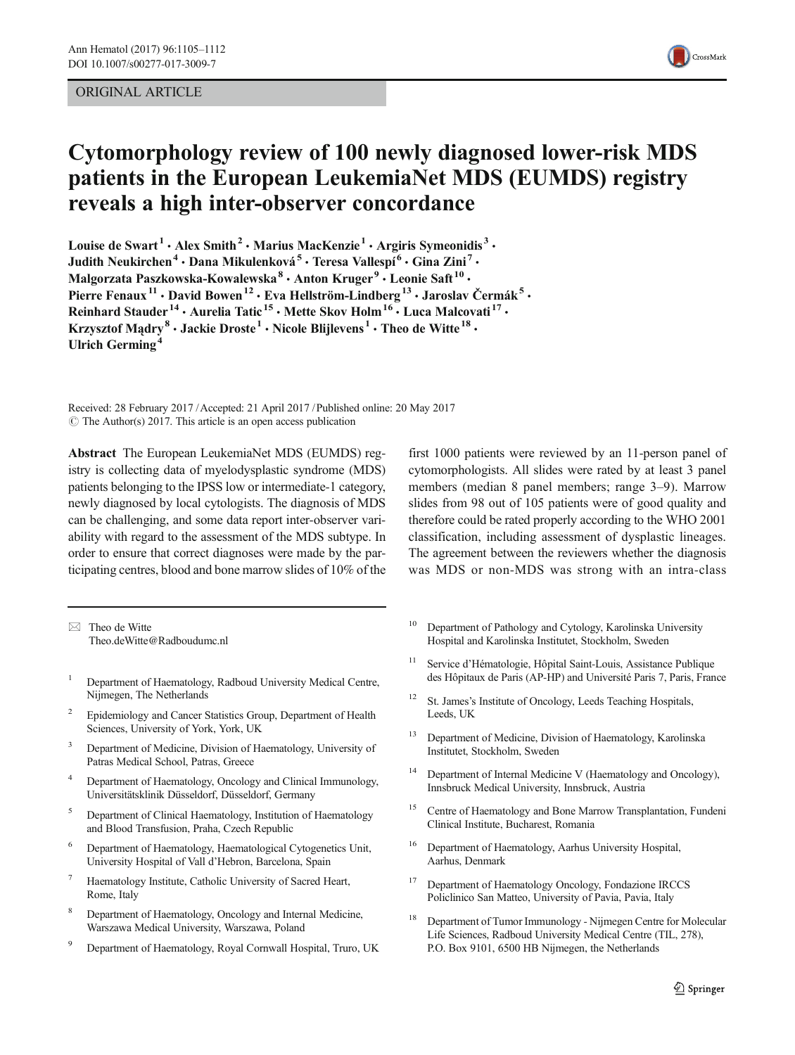# ORIGINAL ARTICLE



# Cytomorphology review of 100 newly diagnosed lower-risk MDS patients in the European LeukemiaNet MDS (EUMDS) registry reveals a high inter-observer concordance

Louise de Swart<sup>1</sup>  $\cdot$  Alex Smith<sup>2</sup>  $\cdot$  Marius MacKenzie<sup>1</sup>  $\cdot$  Argiris Symeonidis<sup>3</sup>  $\cdot$ Judith Neukirchen<sup>4</sup> · Dana Mikulenková<sup>5</sup> · Teresa Vallespí<sup>6</sup> · Gina Zini<sup>7</sup> · Malgorzata Paszkowska-Kowalewska<sup>8</sup> • Anton Kruger<sup>9</sup> • Leonie Saft<sup>10</sup> • Pierre Fenaux<sup>11</sup> · David Bowen<sup>12</sup> · Eva Hellström-Lindberg<sup>13</sup> · Jaroslav Čermák<sup>5</sup> · Reinhard Stauder<sup>14</sup> · Aurelia Tatic<sup>15</sup> · Mette Skov Holm<sup>16</sup> · Luca Malcovati<sup>17</sup> · Krzysztof Madry<sup>8</sup> • Jackie Droste<sup>1</sup> • Nicole Blijlevens<sup>1</sup> • Theo de Witte<sup>18</sup> • Ulrich Germing<sup>4</sup>

Received: 28 February 2017 /Accepted: 21 April 2017 /Published online: 20 May 2017  $\circ$  The Author(s) 2017. This article is an open access publication

Abstract The European LeukemiaNet MDS (EUMDS) registry is collecting data of myelodysplastic syndrome (MDS) patients belonging to the IPSS low or intermediate-1 category, newly diagnosed by local cytologists. The diagnosis of MDS can be challenging, and some data report inter-observer variability with regard to the assessment of the MDS subtype. In order to ensure that correct diagnoses were made by the participating centres, blood and bone marrow slides of 10% of the

 $\boxtimes$  Theo de Witte Theo.deWitte@Radboudumc.nl

- <sup>1</sup> Department of Haematology, Radboud University Medical Centre, Nijmegen, The Netherlands
- <sup>2</sup> Epidemiology and Cancer Statistics Group, Department of Health Sciences, University of York, York, UK
- <sup>3</sup> Department of Medicine, Division of Haematology, University of Patras Medical School, Patras, Greece
- <sup>4</sup> Department of Haematology, Oncology and Clinical Immunology, Universitätsklinik Düsseldorf, Düsseldorf, Germany
- <sup>5</sup> Department of Clinical Haematology, Institution of Haematology and Blood Transfusion, Praha, Czech Republic
- <sup>6</sup> Department of Haematology, Haematological Cytogenetics Unit, University Hospital of Vall d'Hebron, Barcelona, Spain
- Haematology Institute, Catholic University of Sacred Heart, Rome, Italy
- <sup>8</sup> Department of Haematology, Oncology and Internal Medicine, Warszawa Medical University, Warszawa, Poland
- <sup>9</sup> Department of Haematology, Royal Cornwall Hospital, Truro, UK

first 1000 patients were reviewed by an 11-person panel of cytomorphologists. All slides were rated by at least 3 panel members (median 8 panel members; range 3–9). Marrow slides from 98 out of 105 patients were of good quality and therefore could be rated properly according to the WHO 2001 classification, including assessment of dysplastic lineages. The agreement between the reviewers whether the diagnosis was MDS or non-MDS was strong with an intra-class

- <sup>10</sup> Department of Pathology and Cytology, Karolinska University Hospital and Karolinska Institutet, Stockholm, Sweden
- <sup>11</sup> Service d'Hématologie, Hôpital Saint-Louis, Assistance Publique des Hôpitaux de Paris (AP-HP) and Université Paris 7, Paris, France
- <sup>12</sup> St. James's Institute of Oncology, Leeds Teaching Hospitals, Leeds, UK
- <sup>13</sup> Department of Medicine, Division of Haematology, Karolinska Institutet, Stockholm, Sweden
- <sup>14</sup> Department of Internal Medicine V (Haematology and Oncology), Innsbruck Medical University, Innsbruck, Austria
- Centre of Haematology and Bone Marrow Transplantation, Fundeni Clinical Institute, Bucharest, Romania
- <sup>16</sup> Department of Haematology, Aarhus University Hospital, Aarhus, Denmark
- <sup>17</sup> Department of Haematology Oncology, Fondazione IRCCS Policlinico San Matteo, University of Pavia, Pavia, Italy
- <sup>18</sup> Department of Tumor Immunology Nijmegen Centre for Molecular Life Sciences, Radboud University Medical Centre (TIL, 278), P.O. Box 9101, 6500 HB Nijmegen, the Netherlands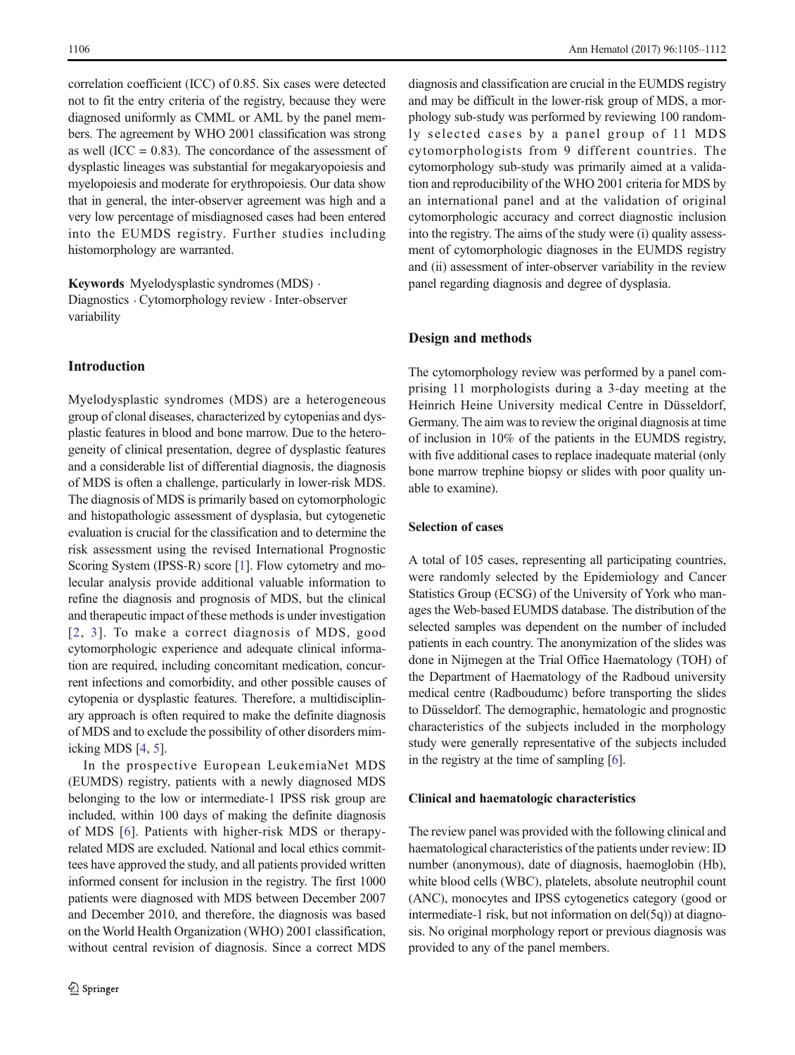correlation coefficient (ICC) of 0.85. Six cases were detected not to fit the entry criteria of the registry, because they were diagnosed uniformly as CMML or AML by the panel members. The agreement by WHO 2001 classification was strong as well  $(ICC = 0.83)$ . The concordance of the assessment of dysplastic lineages was substantial for megakaryopoiesis and myelopoiesis and moderate for erythropoiesis. Our data show that in general, the inter-observer agreement was high and a very low percentage of misdiagnosed cases had been entered into the EUMDS registry. Further studies including histomorphology are warranted.

Keywords Myelodysplastic syndromes (MDS) . Diagnostics . Cytomorphology review . Inter-observer variability

# Introduction

Myelodysplastic syndromes (MDS) are a heterogeneous group of clonal diseases, characterized by cytopenias and dysplastic features in blood and bone marrow. Due to the heterogeneity of clinical presentation, degree of dysplastic features and a considerable list of differential diagnosis, the diagnosis of MDS is often a challenge, particularly in lower-risk MDS. The diagnosis of MDS is primarily based on cytomorphologic and histopathologic assessment of dysplasia, but cytogenetic evaluation is crucial for the classification and to determine the risk assessment using the revised International Prognostic Scoring System (IPSS-R) score [\[1\]](#page-6-0). Flow cytometry and molecular analysis provide additional valuable information to refine the diagnosis and prognosis of MDS, but the clinical and therapeutic impact of these methods is under investigation [[2](#page-6-0), [3\]](#page-6-0). To make a correct diagnosis of MDS, good cytomorphologic experience and adequate clinical information are required, including concomitant medication, concurrent infections and comorbidity, and other possible causes of cytopenia or dysplastic features. Therefore, a multidisciplinary approach is often required to make the definite diagnosis of MDS and to exclude the possibility of other disorders mimicking MDS [[4,](#page-6-0) [5\]](#page-6-0).

In the prospective European LeukemiaNet MDS (EUMDS) registry, patients with a newly diagnosed MDS belonging to the low or intermediate-1 IPSS risk group are included, within 100 days of making the definite diagnosis of MDS [[6](#page-6-0)]. Patients with higher-risk MDS or therapyrelated MDS are excluded. National and local ethics committees have approved the study, and all patients provided written informed consent for inclusion in the registry. The first 1000 patients were diagnosed with MDS between December 2007 and December 2010, and therefore, the diagnosis was based on the World Health Organization (WHO) 2001 classification, without central revision of diagnosis. Since a correct MDS

diagnosis and classification are crucial in the EUMDS registry and may be difficult in the lower-risk group of MDS, a morphology sub-study was performed by reviewing 100 randomly selected cases by a panel group of 11 MDS cytomorphologists from 9 different countries. The cytomorphology sub-study was primarily aimed at a validation and reproducibility of the WHO 2001 criteria for MDS by an international panel and at the validation of original cytomorphologic accuracy and correct diagnostic inclusion into the registry. The aims of the study were (i) quality assessment of cytomorphologic diagnoses in the EUMDS registry and (ii) assessment of inter-observer variability in the review panel regarding diagnosis and degree of dysplasia.

## Design and methods

The cytomorphology review was performed by a panel comprising 11 morphologists during a 3-day meeting at the Heinrich Heine University medical Centre in Düsseldorf, Germany. The aim was to review the original diagnosis at time of inclusion in 10% of the patients in the EUMDS registry, with five additional cases to replace inadequate material (only bone marrow trephine biopsy or slides with poor quality unable to examine).

# Selection of cases

A total of 105 cases, representing all participating countries, were randomly selected by the Epidemiology and Cancer Statistics Group (ECSG) of the University of York who manages the Web-based EUMDS database. The distribution of the selected samples was dependent on the number of included patients in each country. The anonymization of the slides was done in Nijmegen at the Trial Office Haematology (TOH) of the Department of Haematology of the Radboud university medical centre (Radboudumc) before transporting the slides to Düsseldorf. The demographic, hematologic and prognostic characteristics of the subjects included in the morphology study were generally representative of the subjects included in the registry at the time of sampling [[6](#page-6-0)].

# Clinical and haematologic characteristics

The review panel was provided with the following clinical and haematological characteristics of the patients under review: ID number (anonymous), date of diagnosis, haemoglobin (Hb), white blood cells (WBC), platelets, absolute neutrophil count (ANC), monocytes and IPSS cytogenetics category (good or intermediate-1 risk, but not information on del(5q)) at diagnosis. No original morphology report or previous diagnosis was provided to any of the panel members.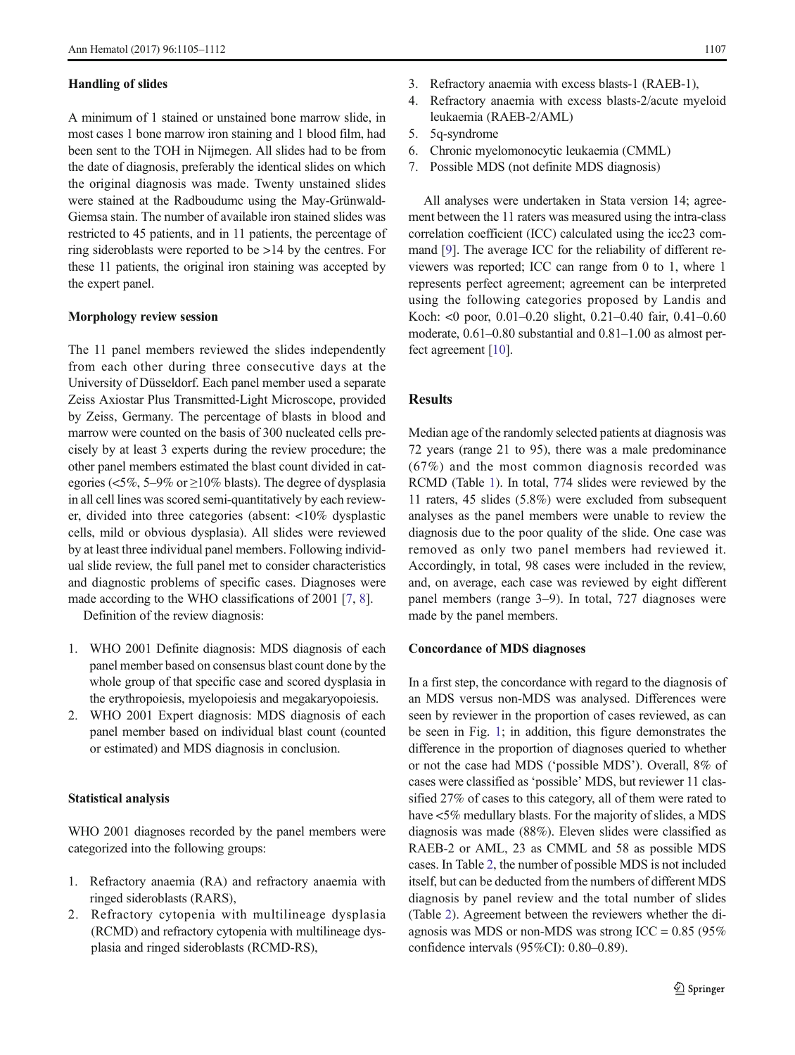#### Handling of slides

A minimum of 1 stained or unstained bone marrow slide, in most cases 1 bone marrow iron staining and 1 blood film, had been sent to the TOH in Nijmegen. All slides had to be from the date of diagnosis, preferably the identical slides on which the original diagnosis was made. Twenty unstained slides were stained at the Radboudumc using the May-Grünwald-Giemsa stain. The number of available iron stained slides was restricted to 45 patients, and in 11 patients, the percentage of ring sideroblasts were reported to be >14 by the centres. For these 11 patients, the original iron staining was accepted by the expert panel.

#### Morphology review session

The 11 panel members reviewed the slides independently from each other during three consecutive days at the University of Düsseldorf. Each panel member used a separate Zeiss Axiostar Plus Transmitted-Light Microscope, provided by Zeiss, Germany. The percentage of blasts in blood and marrow were counted on the basis of 300 nucleated cells precisely by at least 3 experts during the review procedure; the other panel members estimated the blast count divided in categories ( $\lt5\%$ , 5–9% or  $\geq10\%$  blasts). The degree of dysplasia in all cell lines was scored semi-quantitatively by each reviewer, divided into three categories (absent: <10% dysplastic cells, mild or obvious dysplasia). All slides were reviewed by at least three individual panel members. Following individual slide review, the full panel met to consider characteristics and diagnostic problems of specific cases. Diagnoses were made according to the WHO classifications of 2001 [\[7](#page-6-0), [8](#page-6-0)].

Definition of the review diagnosis:

- 1. WHO 2001 Definite diagnosis: MDS diagnosis of each panel member based on consensus blast count done by the whole group of that specific case and scored dysplasia in the erythropoiesis, myelopoiesis and megakaryopoiesis.
- 2. WHO 2001 Expert diagnosis: MDS diagnosis of each panel member based on individual blast count (counted or estimated) and MDS diagnosis in conclusion.

#### Statistical analysis

WHO 2001 diagnoses recorded by the panel members were categorized into the following groups:

- 1. Refractory anaemia (RA) and refractory anaemia with ringed sideroblasts (RARS),
- 2. Refractory cytopenia with multilineage dysplasia (RCMD) and refractory cytopenia with multilineage dysplasia and ringed sideroblasts (RCMD-RS),
- 3. Refractory anaemia with excess blasts-1 (RAEB-1),
- 4. Refractory anaemia with excess blasts-2/acute myeloid leukaemia (RAEB-2/AML)
- 5. 5q-syndrome
- 6. Chronic myelomonocytic leukaemia (CMML)
- 7. Possible MDS (not definite MDS diagnosis)

All analyses were undertaken in Stata version 14; agreement between the 11 raters was measured using the intra-class correlation coefficient (ICC) calculated using the icc23 command [\[9\]](#page-6-0). The average ICC for the reliability of different reviewers was reported; ICC can range from 0 to 1, where 1 represents perfect agreement; agreement can be interpreted using the following categories proposed by Landis and Koch: <0 poor, 0.01–0.20 slight, 0.21–0.40 fair, 0.41–0.60 moderate, 0.61–0.80 substantial and 0.81–1.00 as almost perfect agreement [\[10\]](#page-6-0).

# Results

Median age of the randomly selected patients at diagnosis was 72 years (range 21 to 95), there was a male predominance (67%) and the most common diagnosis recorded was RCMD (Table [1](#page-3-0)). In total, 774 slides were reviewed by the 11 raters, 45 slides (5.8%) were excluded from subsequent analyses as the panel members were unable to review the diagnosis due to the poor quality of the slide. One case was removed as only two panel members had reviewed it. Accordingly, in total, 98 cases were included in the review, and, on average, each case was reviewed by eight different panel members (range 3–9). In total, 727 diagnoses were made by the panel members.

#### Concordance of MDS diagnoses

In a first step, the concordance with regard to the diagnosis of an MDS versus non-MDS was analysed. Differences were seen by reviewer in the proportion of cases reviewed, as can be seen in Fig. [1;](#page-3-0) in addition, this figure demonstrates the difference in the proportion of diagnoses queried to whether or not the case had MDS ('possible MDS'). Overall, 8% of cases were classified as 'possible' MDS, but reviewer 11 classified 27% of cases to this category, all of them were rated to have <5% medullary blasts. For the majority of slides, a MDS diagnosis was made (88%). Eleven slides were classified as RAEB-2 or AML, 23 as CMML and 58 as possible MDS cases. In Table [2,](#page-4-0) the number of possible MDS is not included itself, but can be deducted from the numbers of different MDS diagnosis by panel review and the total number of slides (Table [2\)](#page-4-0). Agreement between the reviewers whether the diagnosis was MDS or non-MDS was strong ICC =  $0.85$  (95%) confidence intervals (95%CI): 0.80–0.89).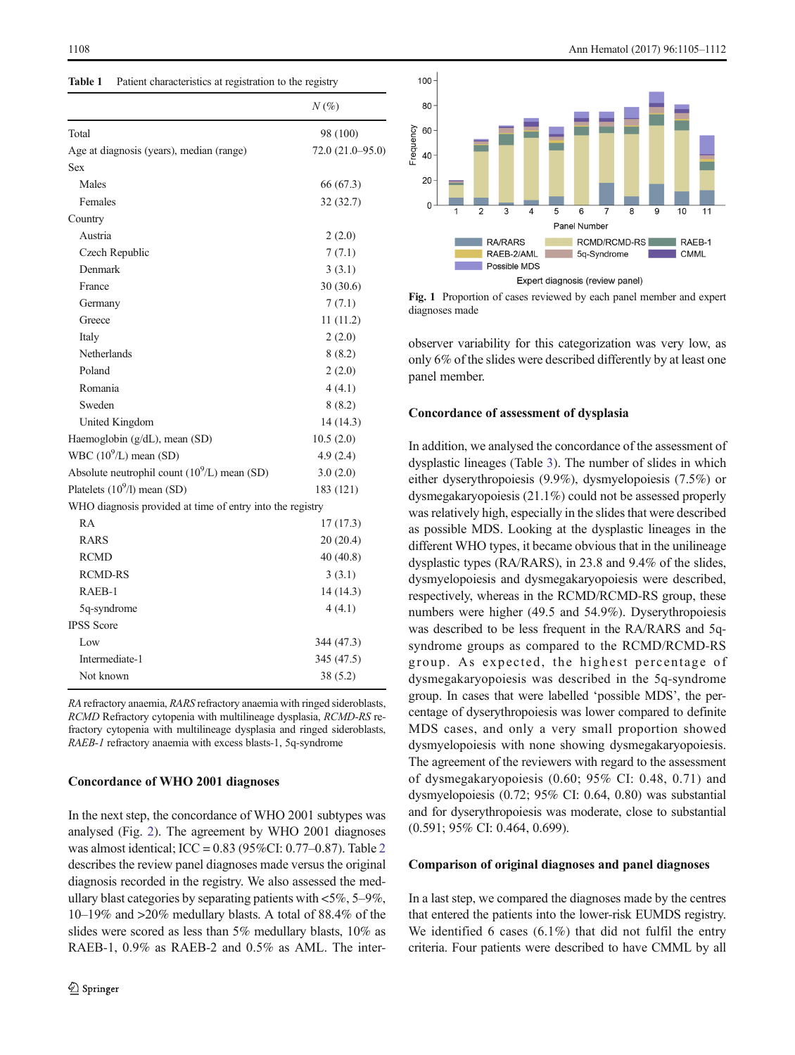<span id="page-3-0"></span>

| Table 1 | Patient characteristics at registration to the registry |  |  |
|---------|---------------------------------------------------------|--|--|
|---------|---------------------------------------------------------|--|--|

|                                                           | $N\left(\%\right)$ |
|-----------------------------------------------------------|--------------------|
| Total                                                     | 98 (100)           |
| Age at diagnosis (years), median (range)                  | $72.0(21.0-95.0)$  |
| <b>Sex</b>                                                |                    |
| Males                                                     | 66 (67.3)          |
| Females                                                   | 32 (32.7)          |
| Country                                                   |                    |
| Austria                                                   | 2(2.0)             |
| Czech Republic                                            | 7(7.1)             |
| Denmark                                                   | 3(3.1)             |
| France                                                    | 30(30.6)           |
| Germany                                                   | 7(7.1)             |
| Greece                                                    | 11(11.2)           |
| Italy                                                     | 2(2.0)             |
| Netherlands                                               | 8(8.2)             |
| Poland                                                    | 2(2.0)             |
| Romania                                                   | 4(4.1)             |
| Sweden                                                    | 8(8.2)             |
| United Kingdom                                            | 14(14.3)           |
| Haemoglobin (g/dL), mean (SD)                             | 10.5(2.0)          |
| WBC $(10^9/L)$ mean (SD)                                  | 4.9(2.4)           |
| Absolute neutrophil count $(10^9/L)$ mean (SD)            | 3.0(2.0)           |
| Platelets $(10^9/l)$ mean (SD)                            | 183 (121)          |
| WHO diagnosis provided at time of entry into the registry |                    |
| RA                                                        | 17(17.3)           |
| <b>RARS</b>                                               | 20(20.4)           |
| <b>RCMD</b>                                               | 40 (40.8)          |
| <b>RCMD-RS</b>                                            | 3(3.1)             |
| RAEB-1                                                    | 14 (14.3)          |
| 5q-syndrome                                               | 4(4.1)             |
| <b>IPSS</b> Score                                         |                    |
| Low                                                       | 344 (47.3)         |
| Intermediate-1                                            | 345 (47.5)         |
| Not known                                                 | 38(5.2)            |

RA refractory anaemia, RARS refractory anaemia with ringed sideroblasts, RCMD Refractory cytopenia with multilineage dysplasia, RCMD-RS refractory cytopenia with multilineage dysplasia and ringed sideroblasts, RAEB-1 refractory anaemia with excess blasts-1, 5q-syndrome

# Concordance of WHO 2001 diagnoses

In the next step, the concordance of WHO 2001 subtypes was analysed (Fig. [2](#page-4-0)). The agreement by WHO 2001 diagnoses was almost identical; ICC = 0.83 (95%CI: 0.77–0.87). Table [2](#page-4-0) describes the review panel diagnoses made versus the original diagnosis recorded in the registry. We also assessed the medullary blast categories by separating patients with  $<5\%$ , 5–9%, 10–19% and >20% medullary blasts. A total of 88.4% of the slides were scored as less than 5% medullary blasts, 10% as RAEB-1, 0.9% as RAEB-2 and 0.5% as AML. The inter-



Fig. 1 Proportion of cases reviewed by each panel member and expert diagnoses made

observer variability for this categorization was very low, as only 6% of the slides were described differently by at least one panel member.

#### Concordance of assessment of dysplasia

In addition, we analysed the concordance of the assessment of dysplastic lineages (Table [3\)](#page-5-0). The number of slides in which either dyserythropoiesis (9.9%), dysmyelopoiesis (7.5%) or dysmegakaryopoiesis (21.1%) could not be assessed properly was relatively high, especially in the slides that were described as possible MDS. Looking at the dysplastic lineages in the different WHO types, it became obvious that in the unilineage dysplastic types (RA/RARS), in 23.8 and 9.4% of the slides, dysmyelopoiesis and dysmegakaryopoiesis were described, respectively, whereas in the RCMD/RCMD-RS group, these numbers were higher (49.5 and 54.9%). Dyserythropoiesis was described to be less frequent in the RA/RARS and 5qsyndrome groups as compared to the RCMD/RCMD-RS group. As expected, the highest percentage of dysmegakaryopoiesis was described in the 5q-syndrome group. In cases that were labelled 'possible MDS', the percentage of dyserythropoiesis was lower compared to definite MDS cases, and only a very small proportion showed dysmyelopoiesis with none showing dysmegakaryopoiesis. The agreement of the reviewers with regard to the assessment of dysmegakaryopoiesis (0.60; 95% CI: 0.48, 0.71) and dysmyelopoiesis (0.72; 95% CI: 0.64, 0.80) was substantial and for dyserythropoiesis was moderate, close to substantial (0.591; 95% CI: 0.464, 0.699).

# Comparison of original diagnoses and panel diagnoses

In a last step, we compared the diagnoses made by the centres that entered the patients into the lower-risk EUMDS registry. We identified 6 cases (6.1%) that did not fulfil the entry criteria. Four patients were described to have CMML by all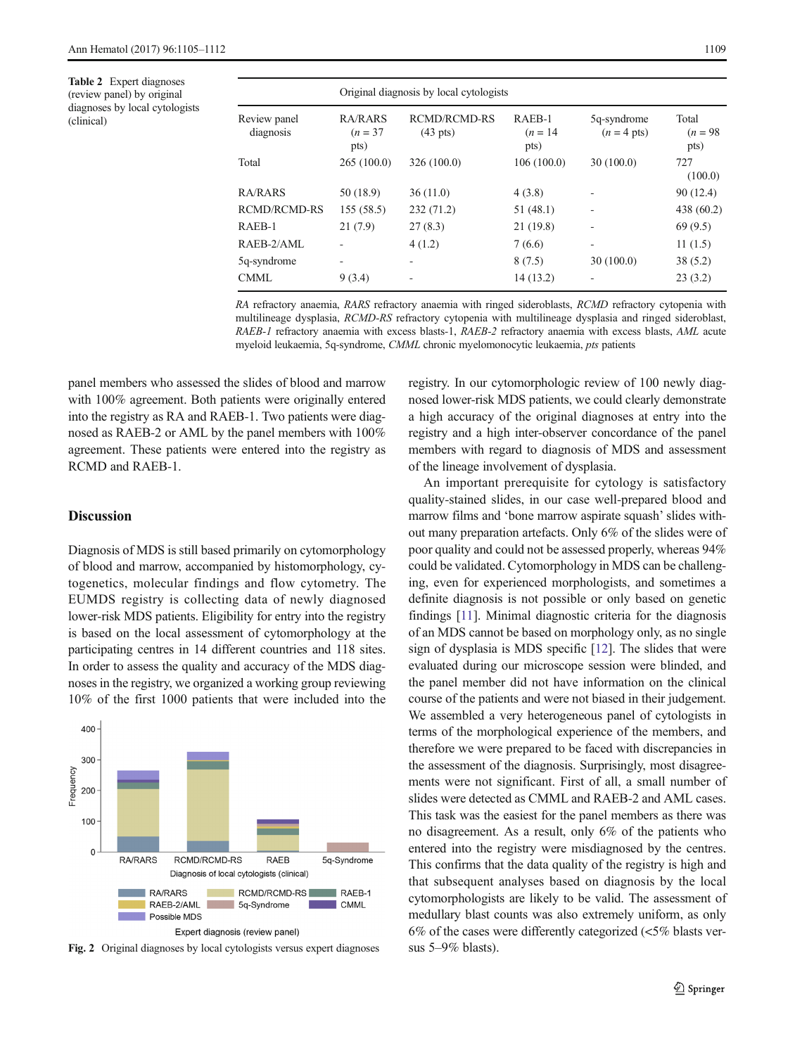<span id="page-4-0"></span>Table 2 Expert diagnoses (review panel) by original diagnoses by local cytologists (clinical)

|                           | Original diagnosis by local cytologists |                                           |                              |                              |                             |  |
|---------------------------|-----------------------------------------|-------------------------------------------|------------------------------|------------------------------|-----------------------------|--|
| Review panel<br>diagnosis | RA/RARS<br>$(n = 37)$<br>pts)           | <b>RCMD/RCMD-RS</b><br>$(43 \text{ pts})$ | RAEB-1<br>$(n = 14)$<br>pts) | 5q-syndrome<br>$(n = 4$ pts) | Total<br>$(n = 98)$<br>pts) |  |
| Total                     | 265(100.0)                              | 326 (100.0)                               | 106(100.0)                   | 30(100.0)                    | 727<br>(100.0)              |  |
| <b>RA/RARS</b>            | 50 (18.9)                               | 36(11.0)                                  | 4(3.8)                       |                              | 90(12.4)                    |  |
| <b>RCMD/RCMD-RS</b>       | 155(58.5)                               | 232 (71.2)                                | 51 (48.1)                    |                              | 438 (60.2)                  |  |
| RAEB-1                    | 21(7.9)                                 | 27(8.3)                                   | 21(19.8)                     |                              | 69(9.5)                     |  |
| RAEB-2/AML                |                                         | 4(1.2)                                    | 7(6.6)                       | ۰                            | 11(1.5)                     |  |
| 5q-syndrome               | ۰                                       | ٠                                         | 8(7.5)                       | 30(100.0)                    | 38(5.2)                     |  |
| <b>CMML</b>               | 9(3.4)                                  |                                           | 14(13.2)                     |                              | 23(3.2)                     |  |

RA refractory anaemia, RARS refractory anaemia with ringed sideroblasts, RCMD refractory cytopenia with multilineage dysplasia, RCMD-RS refractory cytopenia with multilineage dysplasia and ringed sideroblast, RAEB-1 refractory anaemia with excess blasts-1, RAEB-2 refractory anaemia with excess blasts, AML acute myeloid leukaemia, 5q-syndrome, CMML chronic myelomonocytic leukaemia, pts patients

panel members who assessed the slides of blood and marrow with 100% agreement. Both patients were originally entered into the registry as RA and RAEB-1. Two patients were diagnosed as RAEB-2 or AML by the panel members with 100% agreement. These patients were entered into the registry as RCMD and RAEB-1.

## **Discussion**

Diagnosis of MDS is still based primarily on cytomorphology of blood and marrow, accompanied by histomorphology, cytogenetics, molecular findings and flow cytometry. The EUMDS registry is collecting data of newly diagnosed lower-risk MDS patients. Eligibility for entry into the registry is based on the local assessment of cytomorphology at the participating centres in 14 different countries and 118 sites. In order to assess the quality and accuracy of the MDS diagnoses in the registry, we organized a working group reviewing 10% of the first 1000 patients that were included into the



Fig. 2 Original diagnoses by local cytologists versus expert diagnoses

registry. In our cytomorphologic review of 100 newly diagnosed lower-risk MDS patients, we could clearly demonstrate a high accuracy of the original diagnoses at entry into the registry and a high inter-observer concordance of the panel members with regard to diagnosis of MDS and assessment of the lineage involvement of dysplasia.

An important prerequisite for cytology is satisfactory quality-stained slides, in our case well-prepared blood and marrow films and 'bone marrow aspirate squash' slides without many preparation artefacts. Only 6% of the slides were of poor quality and could not be assessed properly, whereas 94% could be validated. Cytomorphology in MDS can be challenging, even for experienced morphologists, and sometimes a definite diagnosis is not possible or only based on genetic findings [\[11\]](#page-6-0). Minimal diagnostic criteria for the diagnosis of an MDS cannot be based on morphology only, as no single sign of dysplasia is MDS specific [\[12\]](#page-6-0). The slides that were evaluated during our microscope session were blinded, and the panel member did not have information on the clinical course of the patients and were not biased in their judgement. We assembled a very heterogeneous panel of cytologists in terms of the morphological experience of the members, and therefore we were prepared to be faced with discrepancies in the assessment of the diagnosis. Surprisingly, most disagreements were not significant. First of all, a small number of slides were detected as CMML and RAEB-2 and AML cases. This task was the easiest for the panel members as there was no disagreement. As a result, only 6% of the patients who entered into the registry were misdiagnosed by the centres. This confirms that the data quality of the registry is high and that subsequent analyses based on diagnosis by the local cytomorphologists are likely to be valid. The assessment of medullary blast counts was also extremely uniform, as only 6% of the cases were differently categorized  $\langle$  <5% blasts versus 5–9% blasts).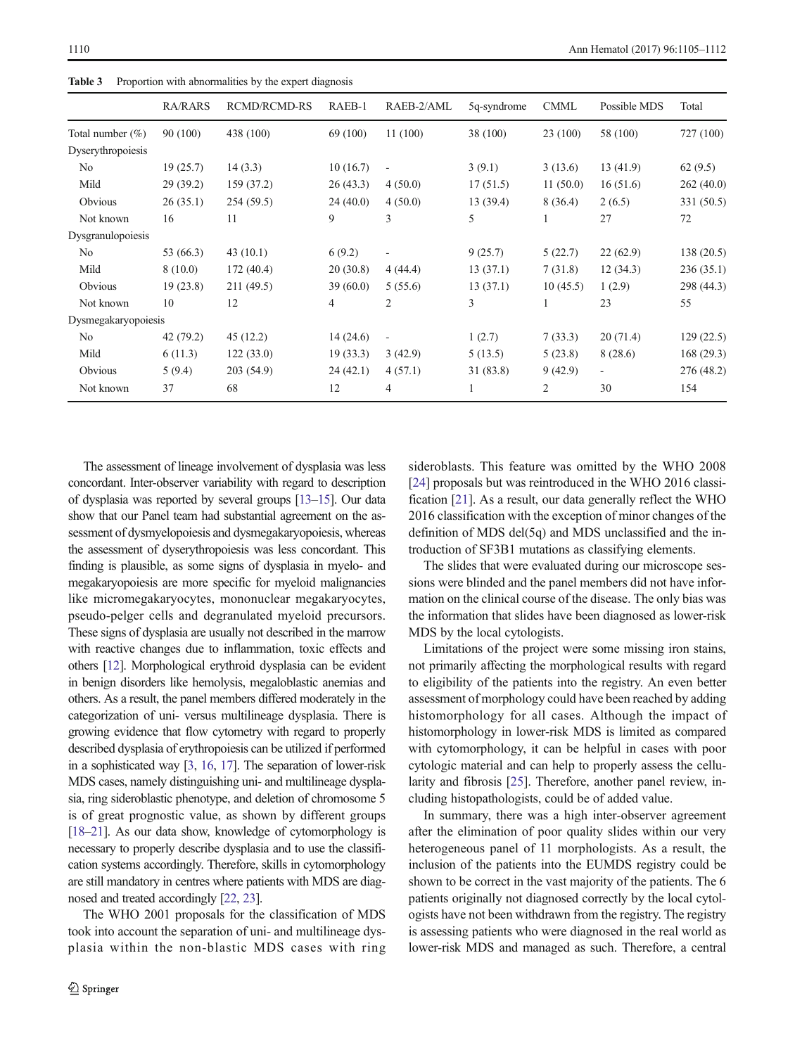|                     | <b>RA/RARS</b> | <b>RCMD/RCMD-RS</b> | RAEB-1   | RAEB-2/AML               | 5q-syndrome | <b>CMML</b>    | Possible MDS             | Total      |
|---------------------|----------------|---------------------|----------|--------------------------|-------------|----------------|--------------------------|------------|
| Total number $(\%)$ | 90 (100)       | 438 (100)           | 69 (100) | 11(100)                  | 38 (100)    | 23 (100)       | 58 (100)                 | 727 (100)  |
| Dyserythropoiesis   |                |                     |          |                          |             |                |                          |            |
| No                  | 19(25.7)       | 14(3.3)             | 10(16.7) | $\overline{\phantom{a}}$ | 3(9.1)      | 3(13.6)        | 13(41.9)                 | 62(9.5)    |
| Mild                | 29(39.2)       | 159 (37.2)          | 26(43.3) | 4(50.0)                  | 17(51.5)    | 11(50.0)       | 16(51.6)                 | 262(40.0)  |
| Obvious             | 26(35.1)       | 254(59.5)           | 24(40.0) | 4(50.0)                  | 13(39.4)    | 8(36.4)        | 2(6.5)                   | 331 (50.5) |
| Not known           | 16             | 11                  | 9        | 3                        | 5           |                | 27                       | 72         |
| Dysgranulopoiesis   |                |                     |          |                          |             |                |                          |            |
| No                  | 53 (66.3)      | 43(10.1)            | 6(9.2)   | $\overline{\phantom{a}}$ | 9(25.7)     | 5(22.7)        | 22(62.9)                 | 138 (20.5) |
| Mild                | 8(10.0)        | 172(40.4)           | 20(30.8) | 4(44.4)                  | 13(37.1)    | 7(31.8)        | 12(34.3)                 | 236(35.1)  |
| Obvious             | 19(23.8)       | 211 (49.5)          | 39(60.0) | 5(55.6)                  | 13(37.1)    | 10(45.5)       | 1(2.9)                   | 298 (44.3) |
| Not known           | 10             | 12                  | 4        | 2                        | 3           | 1              | 23                       | 55         |
| Dysmegakaryopoiesis |                |                     |          |                          |             |                |                          |            |
| No                  | 42 (79.2)      | 45(12.2)            | 14(24.6) | $\overline{\phantom{a}}$ | 1(2.7)      | 7(33.3)        | 20(71.4)                 | 129(22.5)  |
| Mild                | 6(11.3)        | 122(33.0)           | 19(33.3) | 3(42.9)                  | 5(13.5)     | 5(23.8)        | 8(28.6)                  | 168 (29.3) |
| Obvious             | 5(9.4)         | 203 (54.9)          | 24(42.1) | 4(57.1)                  | 31 (83.8)   | 9(42.9)        | $\overline{\phantom{a}}$ | 276 (48.2) |
| Not known           | 37             | 68                  | 12       | 4                        |             | $\overline{2}$ | 30                       | 154        |

<span id="page-5-0"></span>Table 3 Proportion with abnormalities by the expert diagnosis

The assessment of lineage involvement of dysplasia was less concordant. Inter-observer variability with regard to description of dysplasia was reported by several groups [\[13](#page-6-0)–[15](#page-6-0)]. Our data show that our Panel team had substantial agreement on the assessment of dysmyelopoiesis and dysmegakaryopoiesis, whereas the assessment of dyserythropoiesis was less concordant. This finding is plausible, as some signs of dysplasia in myelo- and megakaryopoiesis are more specific for myeloid malignancies like micromegakaryocytes, mononuclear megakaryocytes, pseudo-pelger cells and degranulated myeloid precursors. These signs of dysplasia are usually not described in the marrow with reactive changes due to inflammation, toxic effects and others [\[12\]](#page-6-0). Morphological erythroid dysplasia can be evident in benign disorders like hemolysis, megaloblastic anemias and others. As a result, the panel members differed moderately in the categorization of uni- versus multilineage dysplasia. There is growing evidence that flow cytometry with regard to properly described dysplasia of erythropoiesis can be utilized if performed in a sophisticated way [[3](#page-6-0), [16,](#page-6-0) [17\]](#page-7-0). The separation of lower-risk MDS cases, namely distinguishing uni- and multilineage dysplasia, ring sideroblastic phenotype, and deletion of chromosome 5 is of great prognostic value, as shown by different groups [\[18](#page-7-0)–[21\]](#page-7-0). As our data show, knowledge of cytomorphology is necessary to properly describe dysplasia and to use the classification systems accordingly. Therefore, skills in cytomorphology are still mandatory in centres where patients with MDS are diagnosed and treated accordingly [\[22](#page-7-0), [23\]](#page-7-0).

The WHO 2001 proposals for the classification of MDS took into account the separation of uni- and multilineage dysplasia within the non-blastic MDS cases with ring sideroblasts. This feature was omitted by the WHO 2008 [\[24](#page-7-0)] proposals but was reintroduced in the WHO 2016 classification [\[21](#page-7-0)]. As a result, our data generally reflect the WHO 2016 classification with the exception of minor changes of the definition of MDS del(5q) and MDS unclassified and the introduction of SF3B1 mutations as classifying elements.

The slides that were evaluated during our microscope sessions were blinded and the panel members did not have information on the clinical course of the disease. The only bias was the information that slides have been diagnosed as lower-risk MDS by the local cytologists.

Limitations of the project were some missing iron stains, not primarily affecting the morphological results with regard to eligibility of the patients into the registry. An even better assessment of morphology could have been reached by adding histomorphology for all cases. Although the impact of histomorphology in lower-risk MDS is limited as compared with cytomorphology, it can be helpful in cases with poor cytologic material and can help to properly assess the cellularity and fibrosis [[25](#page-7-0)]. Therefore, another panel review, including histopathologists, could be of added value.

In summary, there was a high inter-observer agreement after the elimination of poor quality slides within our very heterogeneous panel of 11 morphologists. As a result, the inclusion of the patients into the EUMDS registry could be shown to be correct in the vast majority of the patients. The 6 patients originally not diagnosed correctly by the local cytologists have not been withdrawn from the registry. The registry is assessing patients who were diagnosed in the real world as lower-risk MDS and managed as such. Therefore, a central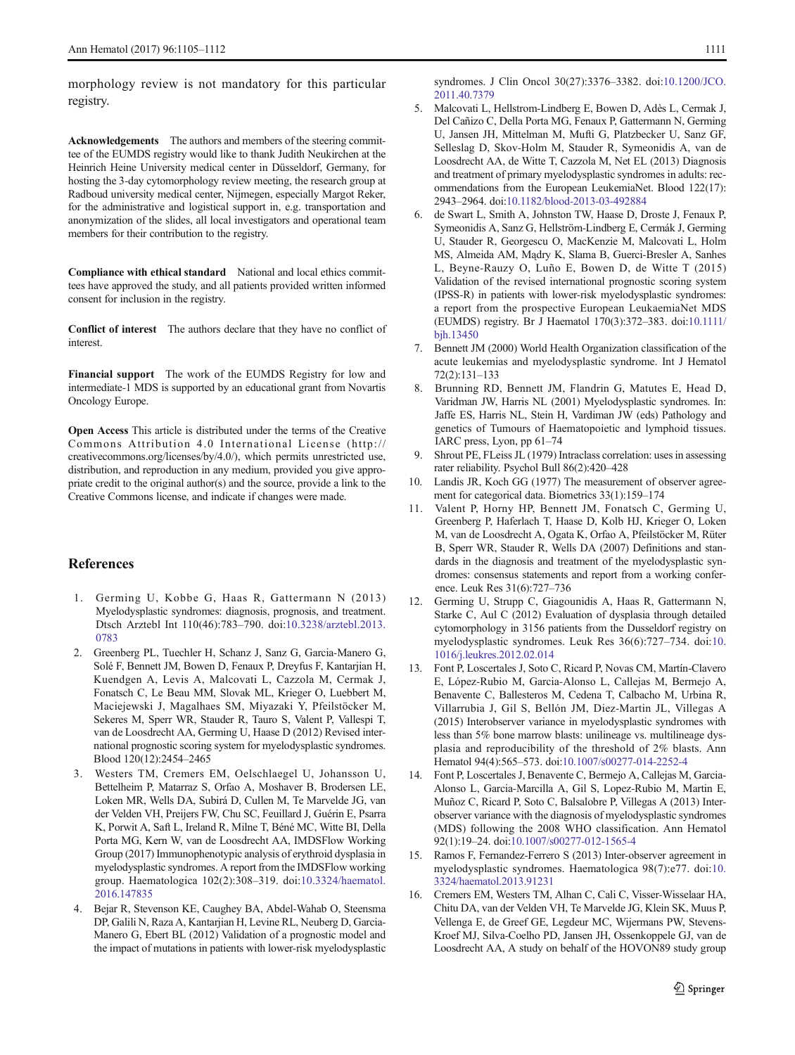<span id="page-6-0"></span>morphology review is not mandatory for this particular registry.

Acknowledgements The authors and members of the steering committee of the EUMDS registry would like to thank Judith Neukirchen at the Heinrich Heine University medical center in Düsseldorf, Germany, for hosting the 3-day cytomorphology review meeting, the research group at Radboud university medical center, Nijmegen, especially Margot Reker, for the administrative and logistical support in, e.g. transportation and anonymization of the slides, all local investigators and operational team members for their contribution to the registry.

Compliance with ethical standard National and local ethics committees have approved the study, and all patients provided written informed consent for inclusion in the registry.

Conflict of interest The authors declare that they have no conflict of interest.

Financial support The work of the EUMDS Registry for low and intermediate-1 MDS is supported by an educational grant from Novartis Oncology Europe.

Open Access This article is distributed under the terms of the Creative Commons Attribution 4.0 International License (http:// creativecommons.org/licenses/by/4.0/), which permits unrestricted use, distribution, and reproduction in any medium, provided you give appropriate credit to the original author(s) and the source, provide a link to the Creative Commons license, and indicate if changes were made.

## **References**

- 1. Germing U, Kobbe G, Haas R, Gattermann N (2013) Myelodysplastic syndromes: diagnosis, prognosis, and treatment. Dtsch Arztebl Int 110(46):783–790. doi[:10.3238/arztebl.2013.](http://dx.doi.org/10.3238/arztebl.2013.0783) [0783](http://dx.doi.org/10.3238/arztebl.2013.0783)
- 2. Greenberg PL, Tuechler H, Schanz J, Sanz G, Garcia-Manero G, Solé F, Bennett JM, Bowen D, Fenaux P, Dreyfus F, Kantarjian H, Kuendgen A, Levis A, Malcovati L, Cazzola M, Cermak J, Fonatsch C, Le Beau MM, Slovak ML, Krieger O, Luebbert M, Maciejewski J, Magalhaes SM, Miyazaki Y, Pfeilstöcker M, Sekeres M, Sperr WR, Stauder R, Tauro S, Valent P, Vallespi T, van de Loosdrecht AA, Germing U, Haase D (2012) Revised international prognostic scoring system for myelodysplastic syndromes. Blood 120(12):2454–2465
- 3. Westers TM, Cremers EM, Oelschlaegel U, Johansson U, Bettelheim P, Matarraz S, Orfao A, Moshaver B, Brodersen LE, Loken MR, Wells DA, Subirá D, Cullen M, Te Marvelde JG, van der Velden VH, Preijers FW, Chu SC, Feuillard J, Guérin E, Psarra K, Porwit A, Saft L, Ireland R, Milne T, Béné MC, Witte BI, Della Porta MG, Kern W, van de Loosdrecht AA, IMDSFlow Working Group (2017) Immunophenotypic analysis of erythroid dysplasia in myelodysplastic syndromes. A report from the IMDSFlow working group. Haematologica 102(2):308–319. doi[:10.3324/haematol.](http://dx.doi.org/10.3324/haematol.2016.147835) [2016.147835](http://dx.doi.org/10.3324/haematol.2016.147835)
- 4. Bejar R, Stevenson KE, Caughey BA, Abdel-Wahab O, Steensma DP, Galili N, Raza A, Kantarjian H, Levine RL, Neuberg D, Garcia-Manero G, Ebert BL (2012) Validation of a prognostic model and the impact of mutations in patients with lower-risk myelodysplastic

syndromes. J Clin Oncol 30(27):3376–3382. doi[:10.1200/JCO.](http://dx.doi.org/10.1200/JCO.2011.40.7379) [2011.40.7379](http://dx.doi.org/10.1200/JCO.2011.40.7379)

- 5. Malcovati L, Hellstrom-Lindberg E, Bowen D, Adès L, Cermak J, Del Cañizo C, Della Porta MG, Fenaux P, Gattermann N, Germing U, Jansen JH, Mittelman M, Mufti G, Platzbecker U, Sanz GF, Selleslag D, Skov-Holm M, Stauder R, Symeonidis A, van de Loosdrecht AA, de Witte T, Cazzola M, Net EL (2013) Diagnosis and treatment of primary myelodysplastic syndromes in adults: recommendations from the European LeukemiaNet. Blood 122(17): 2943–2964. doi:[10.1182/blood-2013-03-492884](http://dx.doi.org/10.1182/blood-2013-03-492884)
- 6. de Swart L, Smith A, Johnston TW, Haase D, Droste J, Fenaux P, Symeonidis A, Sanz G, Hellström-Lindberg E, Cermák J, Germing U, Stauder R, Georgescu O, MacKenzie M, Malcovati L, Holm MS, Almeida AM, Mądry K, Slama B, Guerci-Bresler A, Sanhes L, Beyne-Rauzy O, Luño E, Bowen D, de Witte T (2015) Validation of the revised international prognostic scoring system (IPSS-R) in patients with lower-risk myelodysplastic syndromes: a report from the prospective European LeukaemiaNet MDS (EUMDS) registry. Br J Haematol 170(3):372–383. doi[:10.1111/](http://dx.doi.org/10.1111/bjh.13450) [bjh.13450](http://dx.doi.org/10.1111/bjh.13450)
- 7. Bennett JM (2000) World Health Organization classification of the acute leukemias and myelodysplastic syndrome. Int J Hematol 72(2):131–133
- 8. Brunning RD, Bennett JM, Flandrin G, Matutes E, Head D, Varidman JW, Harris NL (2001) Myelodysplastic syndromes. In: Jaffe ES, Harris NL, Stein H, Vardiman JW (eds) Pathology and genetics of Tumours of Haematopoietic and lymphoid tissues. IARC press, Lyon, pp 61–74
- 9. Shrout PE, FLeiss JL (1979) Intraclass correlation: uses in assessing rater reliability. Psychol Bull 86(2):420–428
- Landis JR, Koch GG (1977) The measurement of observer agreement for categorical data. Biometrics 33(1):159–174
- 11. Valent P, Horny HP, Bennett JM, Fonatsch C, Germing U, Greenberg P, Haferlach T, Haase D, Kolb HJ, Krieger O, Loken M, van de Loosdrecht A, Ogata K, Orfao A, Pfeilstöcker M, Rüter B, Sperr WR, Stauder R, Wells DA (2007) Definitions and standards in the diagnosis and treatment of the myelodysplastic syndromes: consensus statements and report from a working conference. Leuk Res 31(6):727–736
- 12. Germing U, Strupp C, Giagounidis A, Haas R, Gattermann N, Starke C, Aul C (2012) Evaluation of dysplasia through detailed cytomorphology in 3156 patients from the Dusseldorf registry on myelodysplastic syndromes. Leuk Res 36(6):727–734. doi:[10.](http://dx.doi.org/10.1016/j.leukres.2012.02.014) [1016/j.leukres.2012.02.014](http://dx.doi.org/10.1016/j.leukres.2012.02.014)
- 13. Font P, Loscertales J, Soto C, Ricard P, Novas CM, Martín-Clavero E, López-Rubio M, Garcia-Alonso L, Callejas M, Bermejo A, Benavente C, Ballesteros M, Cedena T, Calbacho M, Urbina R, Villarrubia J, Gil S, Bellón JM, Diez-Martin JL, Villegas A (2015) Interobserver variance in myelodysplastic syndromes with less than 5% bone marrow blasts: unilineage vs. multilineage dysplasia and reproducibility of the threshold of 2% blasts. Ann Hematol 94(4):565–573. doi[:10.1007/s00277-014-2252-4](http://dx.doi.org/10.1007/s00277-014-2252-4)
- 14. Font P, Loscertales J, Benavente C, Bermejo A, Callejas M, Garcia-Alonso L, Garcia-Marcilla A, Gil S, Lopez-Rubio M, Martin E, Muñoz C, Ricard P, Soto C, Balsalobre P, Villegas A (2013) Interobserver variance with the diagnosis of myelodysplastic syndromes (MDS) following the 2008 WHO classification. Ann Hematol 92(1):19–24. doi:[10.1007/s00277-012-1565-4](http://dx.doi.org/10.1007/s00277-012-1565-4)
- 15. Ramos F, Fernandez-Ferrero S (2013) Inter-observer agreement in myelodysplastic syndromes. Haematologica 98(7):e77. doi:[10.](http://dx.doi.org/10.3324/haematol.2013.91231) [3324/haematol.2013.91231](http://dx.doi.org/10.3324/haematol.2013.91231)
- 16. Cremers EM, Westers TM, Alhan C, Cali C, Visser-Wisselaar HA, Chitu DA, van der Velden VH, Te Marvelde JG, Klein SK, Muus P, Vellenga E, de Greef GE, Legdeur MC, Wijermans PW, Stevens-Kroef MJ, Silva-Coelho PD, Jansen JH, Ossenkoppele GJ, van de Loosdrecht AA, A study on behalf of the HOVON89 study group